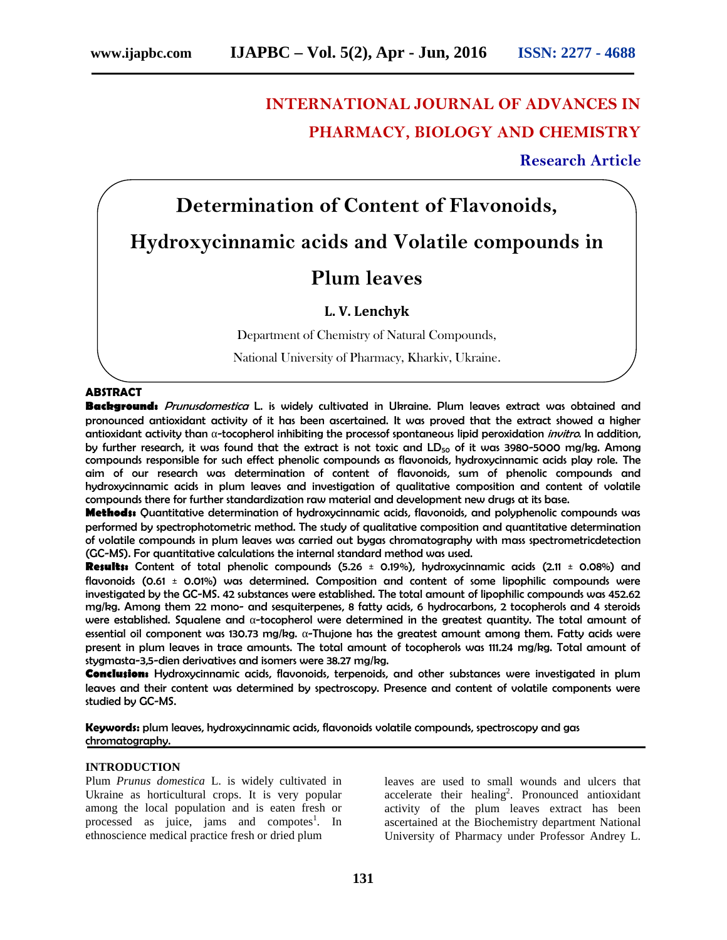## **INTERNATIONAL JOURNAL OF ADVANCES IN PHARMACY, BIOLOGY AND CHEMISTRY**

**Research Article**

# **Determination of Content of Flavonoids, Hydroxycinnamic acids and Volatile compounds in**

### **Plum leaves**

#### **L. V. Lenchyk**

Department of Chemistry of Natural Compounds,

National University of Pharmacy, Kharkiv, Ukraine.

#### **ABSTRACT**

**Background:** *Prunusdomestica* L. is widely cultivated in Ukraine. Plum leaves extract was obtained and pronounced antioxidant activity of it has been ascertained. It was proved that the extract showed a higher antioxidant activity than -tocopherol inhibiting the processof spontaneous lipid peroxidation *invitro*. In addition, by further research, it was found that the extract is not toxic and  $LD_{50}$  of it was 3980-5000 mg/kg. Among compounds responsible for such effect phenolic compounds as flavonoids, hydroxycinnamic acids play role. The aim of our research was determination of content of flavonoids, sum of phenolic compounds and hydroxycinnamic acids in plum leaves and investigation of qualitative composition and content of volatile compounds there for further standardization raw material and development new drugs at its base.

**Methods:** Quantitative determination of hydroxycinnamic acids, flavonoids, and polyphenolic compounds was performed by spectrophotometric method. The study of qualitative composition and quantitative determination of volatile compounds in plum leaves was carried out bygas chromatography with mass spectrometricdetection (GC-MS). For quantitative calculations the internal standard method was used.

**Results:** Content of total phenolic compounds (5.26 ± 0.19%), hydroxycinnamic acids (2.11 ± 0.08%) and flavonoids (0.61 ± 0.01%) was determined. Composition and content of some lipophilic compounds were investigated by the GC-MS. 42 substances were established. The total amount of lipophilic compounds was 452.62 mg/kg. Among them 22 mono- and sesquiterpenes, 8 fatty acids, 6 hydrocarbons, 2 tocopherols and 4 steroids were established. Squalene and -tocopherol were determined in the greatest quantity. The total amount of essential oil component was 130.73 mg/kg. -Thujone has the greatest amount among them. Fatty acids were present in plum leaves in trace amounts. The total amount of tocopherols was 111.24 mg/kg. Total amount of stygmasta-3,5-dien derivatives and isomers were 38.27 mg/kg.

**Conclusion:** Hydroxycinnamic acids, flavonoids, terpenoids, and other substances were investigated in plum leaves and their content was determined by spectroscopy. Presence and content of volatile components were studied by GC-MS.

**Keywords:** plum leaves, hydroxycinnamic acids, flavonoids volatile compounds, spectroscopy and gas chromatography.

#### **INTRODUCTION**

Plum *Prunus domestica* L. is widely cultivated in Ukraine as horticultural crops. It is very popular among the local population and is eaten fresh or processed as juice, jams and compotes<sup>1</sup>. In ethnoscience medical practice fresh or dried plum

leaves are used to small wounds and ulcers that accelerate their healing<sup>2</sup>. Pronounced antioxidant activity of the plum leaves extract has been ascertained at the Biochemistry department National University of Pharmacy under Professor Andrey L.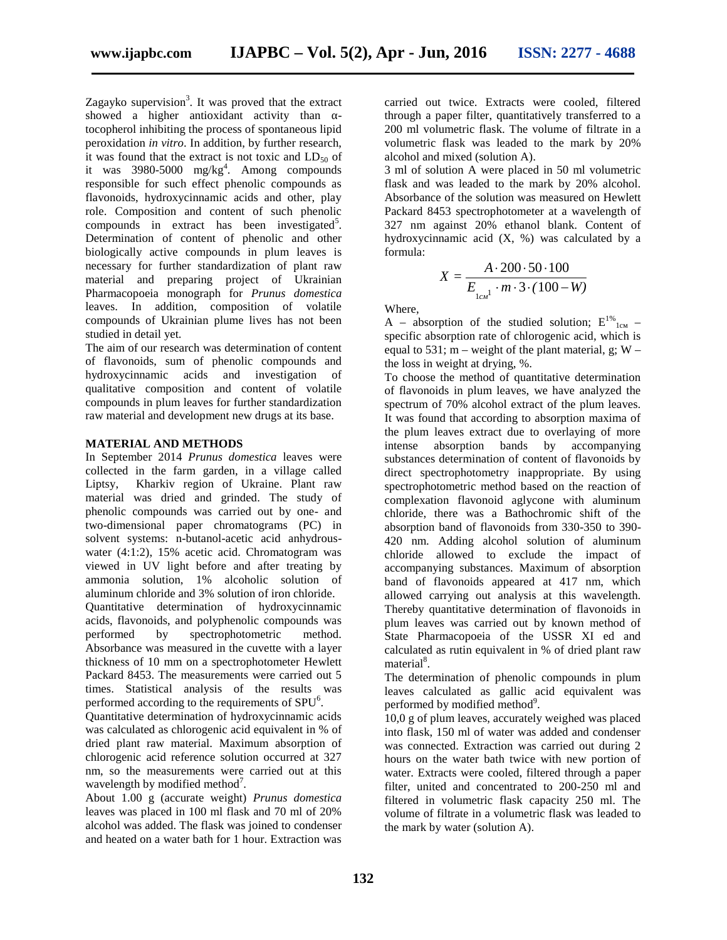Zagayko supervision<sup>3</sup>. It was proved that the extract showed a higher antioxidant activity than tocopherol inhibiting the process of spontaneous lipid peroxidation *in vitro*. In addition, by further research, it was found that the extract is not toxic and  $LD_{50}$  of it was 3980-5000 mg/kg<sup>4</sup>. Among compounds responsible for such effect phenolic compounds as flavonoids, hydroxycinnamic acids and other, play role. Composition and content of such phenolic  $compounds$  in extract has been investigated<sup>5</sup>. Determination of content of phenolic and other biologically active compounds in plum leaves is necessary for further standardization of plant raw material and preparing project of Ukrainian Pharmacopoeia monograph for *Prunus domestica* leaves. In addition, composition of volatile compounds of Ukrainian plume lives has not been studied in detail yet.

The aim of our research was determination of content of flavonoids, sum of phenolic compounds and hydroxycinnamic acids and investigation of qualitative composition and content of volatile compounds in plum leaves for further standardization raw material and development new drugs at its base.

#### **MATERIAL AND METHODS**

In September 2014 *Prunus domestica* leaves were collected in the farm garden, in a village called Liptsy, Kharkiv region of Ukraine. Plant raw material was dried and grinded. The study of phenolic compounds was carried out by one- and two-dimensional paper chromatograms (PC) in solvent systems: n-butanol-acetic acid anhydrous water (4:1:2), 15% acetic acid. Chromatogram was viewed in UV light before and after treating by ammonia solution, 1% alcoholic solution of aluminum chloride and 3% solution of iron chloride. Quantitative determination of hydroxycinnamic acids, flavonoids, and polyphenolic compounds was performed by spectrophotometric method. Absorbance was measured in the cuvette with a layer thickness of 10 mm on a spectrophotometer Hewlett Pack rd 8453. The measurements were carried out 5 times. Statistical analysis of the results was performed according to the requirements of  $SPU^6$ .

Quantitative determination of hydroxycinnamic acids was calculated as chlorogenic acid equivalent in % of dried plant raw material. Maximum absorption of chlorogenic acid reference solution occurred at 327 nm, so the measurements were carried out at this wavelength by modified method<sup>7</sup>.

About 1.00 g (accurate weight) *Prunus domestica* leaves was placed in 100 ml flask and 70 ml of 20% alcohol was added. The flask was joined to condenser and heated on a water bath for 1 hour. Extraction was

carried out twice. Extracts were cooled, filtered through a paper filter, quantitatively transferred to a 200 ml volumetric flask. The volume of filtrate in a volumetric flask was leaded to the mark by 20% alcohol and mixed (solution A).

3 ml of solution A were placed in 50 ml volumetric flask and was leaded to the mark by 20% alcohol. Absorbance of the solution was measured on Hewlett Pack rd 8453 spectrophotometer at a wavelength of 327 nm against 20% ethanol blank. Content of hydroxycinnamic acid  $(X, %)$  was calculated by a formula:

$$
X = \frac{A \cdot 200 \cdot 50 \cdot 100}{E_{1-1} \cdot m \cdot 3 \cdot (100 - W)}
$$

Where,

 $A -$  absorption of the studied solution;  $1$  –  $$ specific absorption rate of chlorogenic acid, which is equal to 531;  $m$  – weight of the plant material, g;  $W$  – the loss in weight at drying, %.

To choose the method of quantitative determination of flavonoids in plum leaves, we have analyzed the spectrum of 70% alcohol extract of the plum leaves. It was found that according to absorption maxima of the plum leaves extract due to overlaying of more intense absorption bands by accompanying substances determination of content of flavonoids by direct spectrophotometry inappropriate. By using spectrophotometric method based on the reaction of complexation flavonoid aglycone with aluminum chloride, there was a Bathochromic shift of the absorption band of flavonoids from 330-350 to 390- 420 nm. Adding alcohol solution of aluminum chloride allowed to exclude the impact of accompanying substances. Maximum of absorption band of flavonoids appeared at 417 nm, which allowed carrying out analysis at this wavelength. Thereby quantitative determination of flavonoids in plum leaves was carried out by known method of State Pharmacopoeia of the USSR XI ed and calculated as rutin equivalent in % of dried plant raw material<sup>8</sup>.

The determination of phenolic compounds in plum leaves calculated as gallic acid equivalent was performed by modified method<sup>9</sup>.

10,0 g of plum leaves, accurately weighed was placed into flask, 150 ml of water was added and condenser was connected. Extraction was carried out during 2 hours on the water bath twice with new portion of water. Extracts were cooled, filtered through a paper filter, united and concentrated to 200-250 ml and filtered in volumetric flask capacity 250 ml. The volume of filtrate in a volumetric flask was leaded to the mark by water (solution A).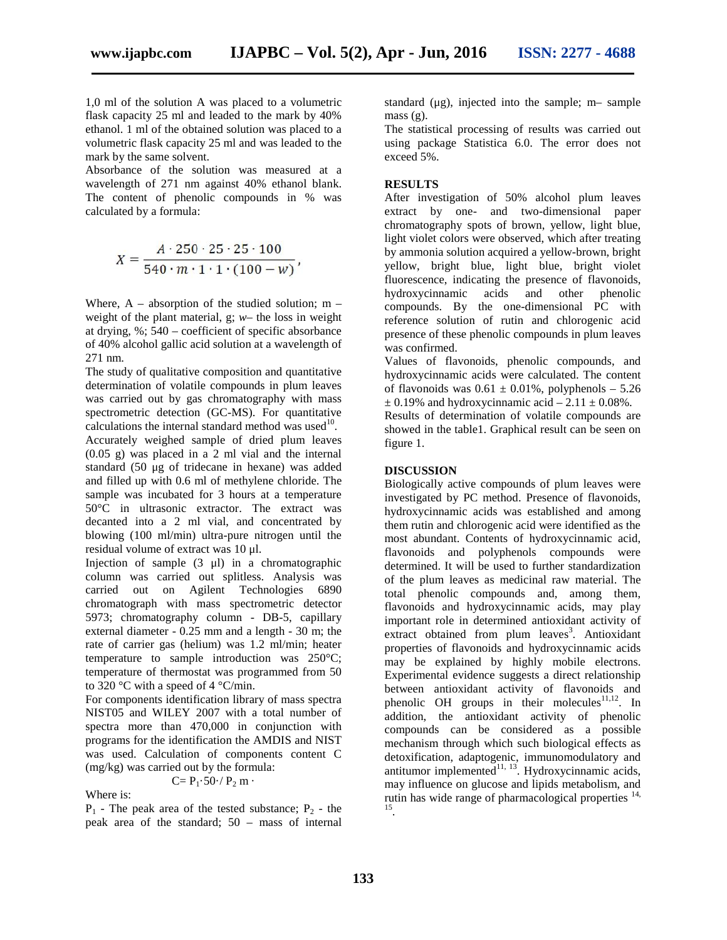1,0 ml of the solution A was placed to a volumetric flask capacity 25 ml and leaded to the mark by 40% ethanol. 1 ml of the obtained solution was placed to a volumetric flask capacity 25 ml and was leaded to the mark by the same solvent.

Absorbance of the solution was measured at a wavelength of 271 nm against 40% ethanol blank. The content of phenolic compounds in % was calculated by a formula:

$$
X = \frac{A \cdot 250 \cdot 25 \cdot 25 \cdot 100}{540 \cdot m \cdot 1 \cdot 1 \cdot (100 - w)},
$$

Where,  $A -$  absorption of the studied solution; m – weight of the plant material, g; *w*– the loss in weight at drying, %; 540 – coefficient of specific absorbance of 40% alcohol gallic acid solution at a wavelength of 271 nm.

The study of qualitative composition and quantitative determination of volatile compounds in plum leaves was carried out by gas chromatography with mass spectrometric detection (GC-MS). For quantitative calculations the internal standard method was used $^{10}$ . Accurately weighed sample of dried plum leaves (0.05 g) was placed in a 2 ml vial and the internal standard (50 μg of tridecane in hexane) was added and filled up with 0.6 ml of methylene chloride. The sample was incubated for 3 hours at a temperature 50°C in ultrasonic extractor. The extract was decanted into a 2 ml vial, and concentrated by blowing (100 ml/min) ultra-pure nitrogen until the residual volume of extract was 10 μl.

Injection of sample  $(3 \mu l)$  in a chromatographic column was carried out splitless. Analysis was carried out on Agilent Technologies 6890 chromatograph with mass spectrometric detector 5973; chromatography column - DB-5, capillary external diameter - 0.25 mm and a length - 30 m; the rate of carrier gas (helium) was 1.2 ml/min; heater temperature to sample introduction was 250°C; temperature of thermostat was programmed from 50 to 320 °C with a speed of 4 °C/min.

For components identification library of mass spectra NIST05 and WILEY 2007 with a total number of spectra more than 470,000 in conjunction with programs for the identification the AMDIS and NIST was used. Calculation of components content (mg/kg) was carried out by the formula:

$$
= P_1 \cdot 50 \cdot / P_2 \text{ m}.
$$

Where is:

 $P_1$  - The peak area of the tested substance;  $P_2$  - the peak area of the standard; 50 – mass of internal standard (μg), injected into the sample; m– sample mass (g).

The statistical processing of results was carried out using package Statistica 6.0. The error does not exceed 5%.

#### **RESULTS**

After investigation of 50% alcohol plum leaves extract by one- and two-dimensional paper chromatography spots of brown, yellow, light blue, light violet colors were observed, which after treating by ammonia solution acquired a yellow-brown, bright yellow, bright blue, light blue, bright violet fluorescence, indicating the presence of flavonoids, hydroxycinnamic acids and other phenolic compounds. By the one-dimensional PC with reference solution of rutin and chlorogenic acid presence of these phenolic compounds in plum leaves was confirmed.

Values of flavonoids, phenolic compounds, and hydroxycinnamic acids were calculated. The content of flavonoids was  $0.61 \pm 0.01\%$ , polyphenols – 5.26  $\pm$  0.19% and hydroxycinnamic acid – 2.11  $\pm$  0.08%.

Results of determination of volatile compounds are showed in the table1. Graphical result can be seen on figure 1.

#### **DISCUSSION**

Biologically active compounds of plum leaves were investigated by PC method. Presence of flavonoids, hydroxycinnamic acids was established and among them rutin and chlorogenic acid were identified as the most abundant. Contents of hydroxycinnamic acid, flavonoids and polyphenols compounds were determined. It will be used to further standardization of the plum leaves as medicinal raw material. The total phenolic compounds and, among them, flavonoids and hydroxycinnamic acids, may play important role in determined antioxidant activity of extract obtained from plum leaves<sup>3</sup>. Antioxidant properties of flavonoids and hydroxycinnamic acids may be explained by highly mobile electrons. Experimental evidence suggests a direct relationship between antioxidant activity of flavonoids and phenolic OH groups in their molecules<sup>11,12</sup>. In addition, the antioxidant activity of phenolic compounds can be considered as a possible mechanism through which such biological effects as detoxification, adaptogenic, immunomodulatory and antitumor implemented $11, 13$ . Hydroxycinnamic acids, may influence on glucose and lipids metabolism, and rutin has wide range of pharmacological properties  $14$ , .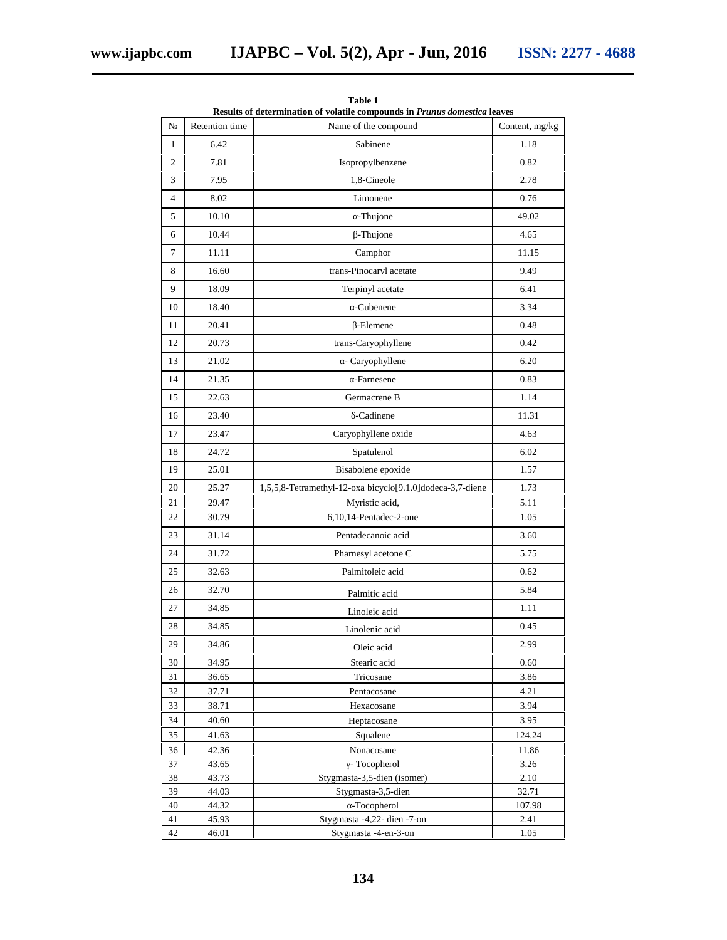| Results of determination of volatile compounds in Prunus domestica leaves |                |                                                           |                |
|---------------------------------------------------------------------------|----------------|-----------------------------------------------------------|----------------|
|                                                                           | Retention time | Name of the compound                                      | Content, mg/kg |
| $\mathbf{1}$                                                              | 6.42           | Sabinene                                                  | 1.18           |
| $\overline{c}$                                                            | 7.81           | Isopropylbenzene                                          | 0.82           |
| 3                                                                         | 7.95           | 1,8-Cineole                                               | 2.78           |
| $\overline{4}$                                                            | 8.02           | Limonene                                                  | 0.76           |
| 5                                                                         | 10.10          | -Thujone                                                  | 49.02          |
| 6                                                                         | 10.44          | -Thujone                                                  | 4.65           |
| 7                                                                         | 11.11          | Camphor                                                   | 11.15          |
| 8                                                                         | 16.60          | trans-Pinocaryl acetate                                   | 9.49           |
| 9                                                                         | 18.09          | Terpinyl acetate                                          | 6.41           |
|                                                                           |                |                                                           |                |
| 10                                                                        | 18.40          | -Cubenene                                                 | 3.34           |
| 11                                                                        | 20.41          | -Elemene                                                  | 0.48           |
| 12                                                                        | 20.73          | trans-Caryophyllene                                       | 0.42           |
| 13                                                                        | 21.02          | - Caryophyllene                                           | 6.20           |
| 14                                                                        | 21.35          | -Farnesene                                                | 0.83           |
| 15                                                                        | 22.63          | Germacrene B                                              | 1.14           |
| 16                                                                        | 23.40          | -Cadinene                                                 | 11.31          |
| 17                                                                        | 23.47          | Caryophyllene oxide                                       | 4.63           |
| 18                                                                        | 24.72          | Spatulenol                                                | 6.02           |
| 19                                                                        | 25.01          | Bisabolene epoxide                                        | 1.57           |
| 20                                                                        | 25.27          | 1,5,5,8-Tetramethyl-12-oxa bicyclo[9.1.0]dodeca-3,7-diene | 1.73           |
| 21                                                                        | 29.47          | Myristic acid,                                            | 5.11           |
| 22                                                                        | 30.79          | 6,10,14-Pentadec-2-one                                    | 1.05           |
| 23                                                                        | 31.14          | Pentadecanoic acid                                        | 3.60           |
| 24                                                                        | 31.72          | Pharnesyl acetone C                                       | 5.75           |
| 25                                                                        | 32.63          | Palmitoleic acid                                          | 0.62           |
| 26                                                                        | 32.70          | Palmitic acid                                             | 5.84           |
| 27                                                                        | 34.85          | Linoleic acid                                             | 1.11           |
| 28                                                                        | 34.85          | Linolenic acid                                            | 0.45           |
| 29                                                                        | 34.86          |                                                           | 2.99           |
| 30                                                                        | 34.95          | Oleic acid<br>Stearic acid                                | $0.60\,$       |
| 31                                                                        | 36.65          | Tricosane                                                 | 3.86           |
| 32                                                                        | 37.71          | Pentacosane                                               | 4.21           |
| 33                                                                        | 38.71          | Hexacosane                                                | 3.94           |
| 34                                                                        | 40.60          | Heptacosane                                               | 3.95           |
| 35                                                                        | 41.63          | Squalene                                                  | 124.24         |
| 36<br>37                                                                  | 42.36<br>43.65 | Nonacosane<br>- Tocopherol                                | 11.86<br>3.26  |
| 38                                                                        | 43.73          | Stygmasta-3,5-dien (isomer)                               | 2.10           |
| 39                                                                        | 44.03          | Stygmasta-3,5-dien                                        | 32.71          |
| 40                                                                        | 44.32          | -Tocopherol                                               | 107.98         |
| 41                                                                        | 45.93          | Stygmasta -4,22- dien -7-on                               | 2.41           |
| 42                                                                        | 46.01          | Stygmasta -4- n-3- n                                      | 1.05           |

**Table 1**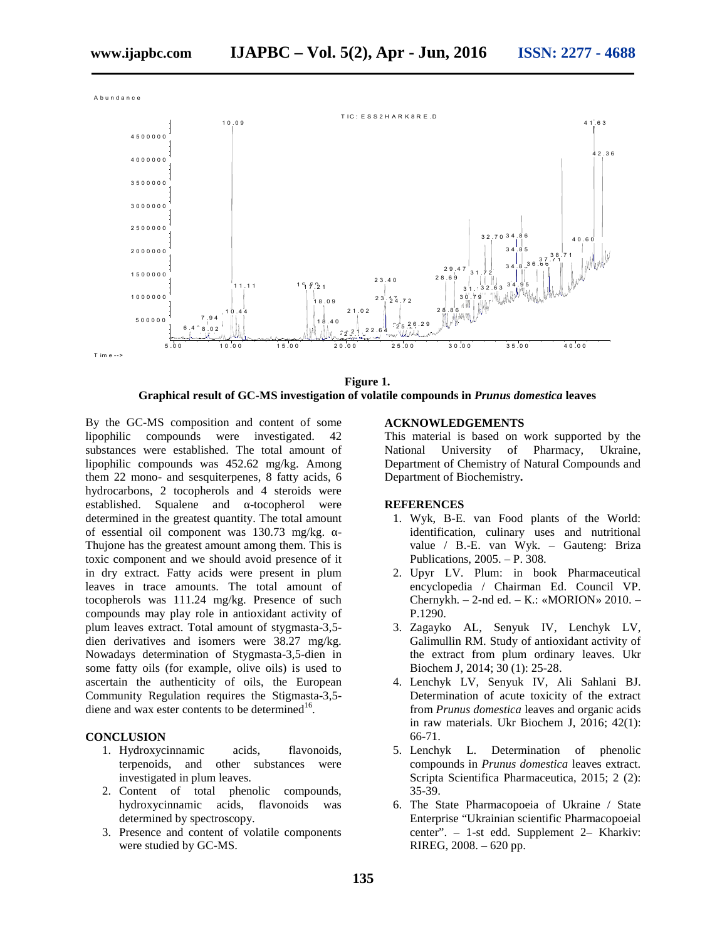

**Figure 1. Graphical result of GC-MS investigation of volatile compounds in** *Prunus domestica* **leaves**

By the GC-MS composition and content of some lipophilic compounds were investigated. 42 substances were established. The total amount of lipophilic compounds was 452.62 mg/kg. Among them 22 mono- and sesquiterpenes, 8 fatty acids, 6 hydrocarbons, 2 tocopherols and 4 steroids were established. Squalene and -tocopherol were determined in the greatest quantity. The total amount of essential oil component was 130.73 mg/kg. -Thujone has the greatest amount among them. This is toxic component and we should avoid presence of it in dry extract. Fatty acids were present in plum leaves in trace amounts. The total amount of tocopherols was 111.24 mg/kg. Presence of such compounds may play role in antioxidant activity of plum leaves extract. Total amount of stygmasta-3,5 dien derivatives and isomers were 38.27 mg/kg. Nowadays determination of Stygmasta-3,5-dien in some fatty oils (for example, olive oils) is used to ascertain the authenticity of oils, the European Community Regulation requires the Stigmasta-3,5 diene and wax ester contents to be determined $16$ .

#### **CONCLUSION**

- 1. Hydroxycinnamic acids, flavonoids, terpenoids, and other substances were investigated in plum leaves.
- 2. Content of total phenolic compounds, hydroxycinnamic acids, flavonoids was determined by spectroscopy.
- 3. Presence and content of volatile components were studied by GC-MS.

#### **ACKNOWLEDGEMENTS**

This material is based on work supported by the National University of Pharmacy, Ukraine, Department of Chemistry of Natural Compounds and Department of Biochemistry**.**

#### **REFERENCES**

- 1. Wyk, B-E. van Food plants of the World: identification, culinary uses and nutritional value / B.-E. van Wyk. – Gauteng: Briza Publications, 2005. – P. 308.
- 2. Upyr LV. Plum: in book Pharmaceutical encyclopedia / Chairman Ed. Council VP. Chernykh. – 2-nd ed. –  $\therefore$  « $R$  N» 2010. – P.1290.
- 3. Zagayko L, Senyuk V, Lenchyk LV, Galimullin  $R$ . Study of antioxidant activity of the extract from plum ordinary leaves. Ukr Biochem J, 2014; 30 (1): 25-28.
- 4. Lenchyk LV, Senyuk V, Ali Sahlani BJ. Determination of acute toxicity of the extract from *Prunus domestica* leaves and organic acids in raw materials. Ukr Biochem J, 2016; 42(1): 66-71.
- 5. Lenchyk L. Determination of phenolic compounds in *Prunus domestica* leaves extract. Scripta Scientifica Pharmaceutica, 2015; 2 (2): 35-39.
- 6. The State Pharmacopoeia of Ukraine / State Enterprise "Ukrainian scientific Pharmacopoeial center". – 1-st edd. Supplement 2– Kharkiv: R R G, 2008. – 620 pp.